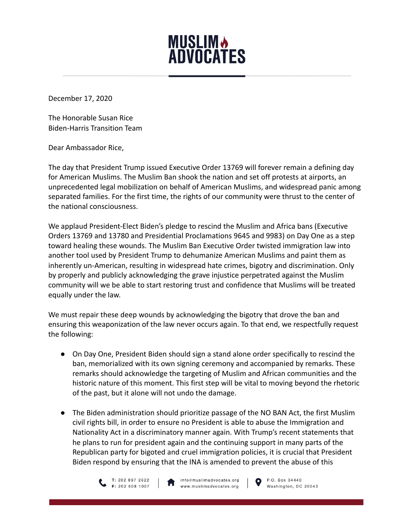

December 17, 2020

The Honorable Susan Rice Biden-Harris Transition Team

Dear Ambassador Rice,

The day that President Trump issued Executive Order 13769 will forever remain a defining day for American Muslims. The Muslim Ban shook the nation and set off protests at airports, an unprecedented legal mobilization on behalf of American Muslims, and widespread panic among separated families. For the first time, the rights of our community were thrust to the center of the national consciousness.

We applaud President-Elect Biden's pledge to rescind the Muslim and Africa bans (Executive Orders 13769 and 13780 and Presidential Proclamations 9645 and 9983) on Day One as a step toward healing these wounds. The Muslim Ban Executive Order twisted immigration law into another tool used by President Trump to dehumanize American Muslims and paint them as inherently un-American, resulting in widespread hate crimes, bigotry and discrimination. Only by properly and publicly acknowledging the grave injustice perpetrated against the Muslim community will we be able to start restoring trust and confidence that Muslims will be treated equally under the law.

We must repair these deep wounds by acknowledging the bigotry that drove the ban and ensuring this weaponization of the law never occurs again. To that end, we respectfully request the following:

- On Day One, President Biden should sign a stand alone order specifically to rescind the ban, memorialized with its own signing ceremony and accompanied by remarks. These remarks should acknowledge the targeting of Muslim and African communities and the historic nature of this moment. This first step will be vital to moving beyond the rhetoric of the past, but it alone will not undo the damage.
- The Biden administration should prioritize passage of the NO BAN Act, the first Muslim civil rights bill, in order to ensure no President is able to abuse the Immigration and Nationality Act in a discriminatory manner again. With Trump's recent statements that he plans to run for president again and the continuing support in many parts of the Republican party for bigoted and cruel immigration policies, it is crucial that President Biden respond by ensuring that the INA is amended to prevent the abuse of this



info@muslimadvocates.org www.muslimadvocates.org